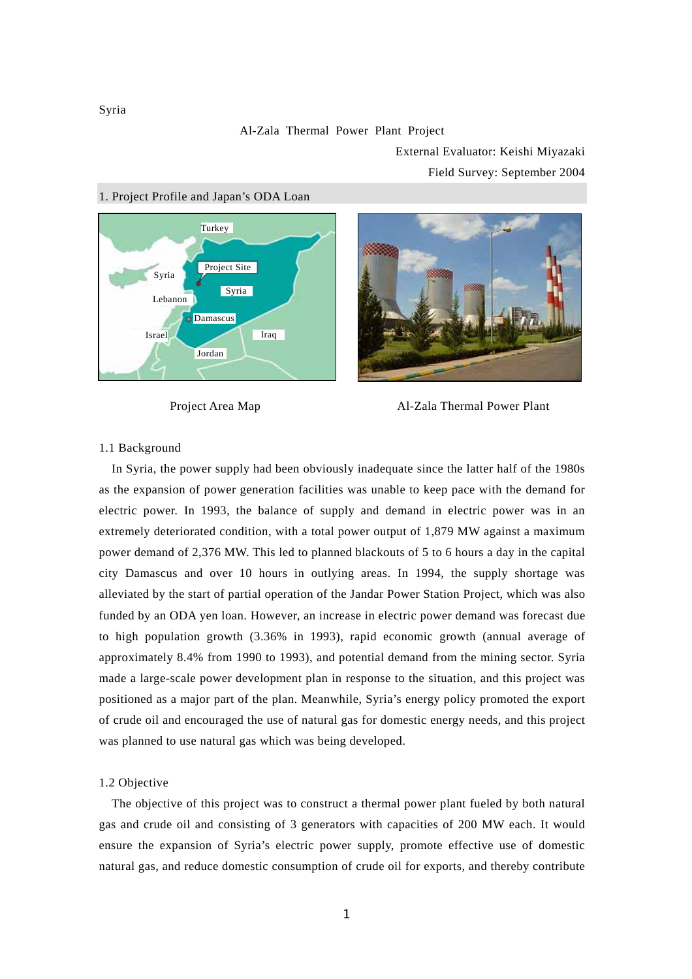#### Al-Zala Thermal Power Plant Project

External Evaluator: Keishi Miyazaki

Field Survey: September 2004



## 1. Project Profile and Japan's ODA Loan





#### 1.1 Background

In Syria, the power supply had been obviously inadequate since the latter half of the 1980s as the expansion of power generation facilities was unable to keep pace with the demand for electric power. In 1993, the balance of supply and demand in electric power was in an extremely deteriorated condition, with a total power output of 1,879 MW against a maximum power demand of 2,376 MW. This led to planned blackouts of 5 to 6 hours a day in the capital city Damascus and over 10 hours in outlying areas. In 1994, the supply shortage was alleviated by the start of partial operation of the Jandar Power Station Project, which was also funded by an ODA yen loan. However, an increase in electric power demand was forecast due to high population growth (3.36% in 1993), rapid economic growth (annual average of approximately 8.4% from 1990 to 1993), and potential demand from the mining sector. Syria made a large-scale power development plan in response to the situation, and this project was positioned as a major part of the plan. Meanwhile, Syria's energy policy promoted the export of crude oil and encouraged the use of natural gas for domestic energy needs, and this project was planned to use natural gas which was being developed.

### 1.2 Objective

The objective of this project was to construct a thermal power plant fueled by both natural gas and crude oil and consisting of 3 generators with capacities of 200 MW each. It would ensure the expansion of Syria's electric power supply, promote effective use of domestic natural gas, and reduce domestic consumption of crude oil for exports, and thereby contribute

Syria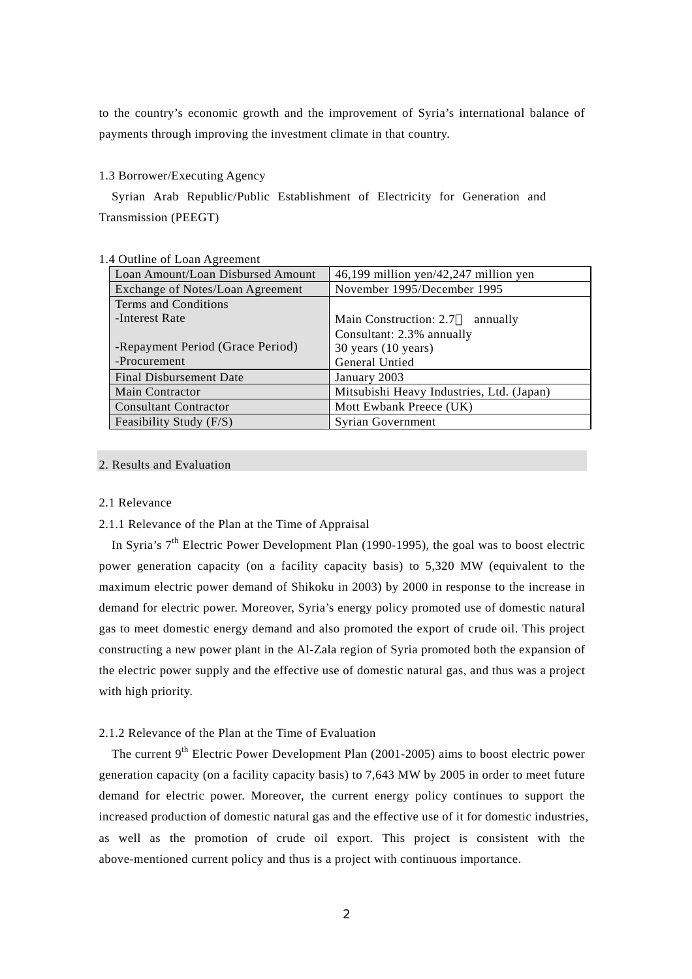to the country's economic growth and the improvement of Syria's international balance of payments through improving the investment climate in that country.

### 1.3 Borrower/Executing Agency

Syrian Arab Republic/Public Establishment of Electricity for Generation and Transmission (PEEGT)

| 1.4 Outline of Loan Agreement |                                   |                                           |  |  |
|-------------------------------|-----------------------------------|-------------------------------------------|--|--|
|                               | Loan Amount/Loan Disbursed Amount | 46,199 million yen/42,247 million yen     |  |  |
|                               | Exchange of Notes/Loan Agreement  | November 1995/December 1995               |  |  |
|                               | Terms and Conditions              |                                           |  |  |
|                               | -Interest Rate                    | Main Construction: 2.7<br>annually        |  |  |
|                               |                                   | Consultant: 2.3% annually                 |  |  |
|                               | -Repayment Period (Grace Period)  | $30$ years $(10$ years)                   |  |  |
|                               | -Procurement                      | General Untied                            |  |  |
|                               | <b>Final Disbursement Date</b>    | January 2003                              |  |  |
|                               | <b>Main Contractor</b>            | Mitsubishi Heavy Industries, Ltd. (Japan) |  |  |
|                               | <b>Consultant Contractor</b>      | Mott Ewbank Preece (UK)                   |  |  |
| Feasibility Study (F/S)       |                                   | <b>Syrian Government</b>                  |  |  |

# 2. Results and Evaluation

### 2.1 Relevance

# 2.1.1 Relevance of the Plan at the Time of Appraisal

In Syria's  $7<sup>th</sup>$  Electric Power Development Plan (1990-1995), the goal was to boost electric power generation capacity (on a facility capacity basis) to 5,320 MW (equivalent to the maximum electric power demand of Shikoku in 2003) by 2000 in response to the increase in demand for electric power. Moreover, Syria's energy policy promoted use of domestic natural gas to meet domestic energy demand and also promoted the export of crude oil. This project constructing a new power plant in the Al-Zala region of Syria promoted both the expansion of the electric power supply and the effective use of domestic natural gas, and thus was a project with high priority.

# 2.1.2 Relevance of the Plan at the Time of Evaluation

The current  $9<sup>th</sup>$  Electric Power Development Plan (2001-2005) aims to boost electric power generation capacity (on a facility capacity basis) to 7,643 MW by 2005 in order to meet future demand for electric power. Moreover, the current energy policy continues to support the increased production of domestic natural gas and the effective use of it for domestic industries, as well as the promotion of crude oil export. This project is consistent with the above-mentioned current policy and thus is a project with continuous importance.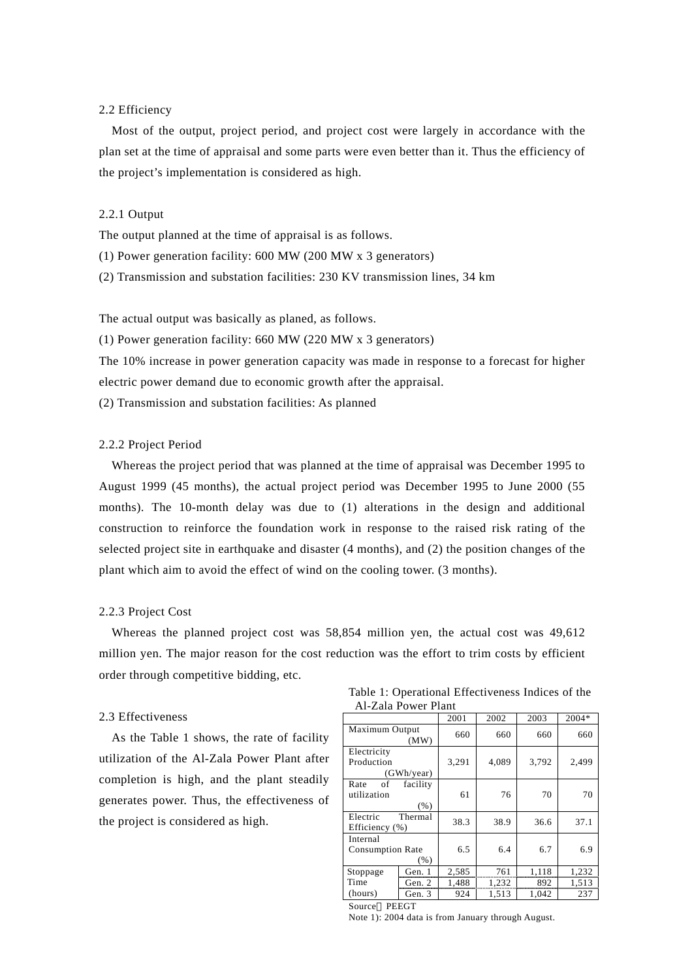### 2.2 Efficiency

Most of the output, project period, and project cost were largely in accordance with the plan set at the time of appraisal and some parts were even better than it. Thus the efficiency of the project's implementation is considered as high.

### 2.2.1 Output

The output planned at the time of appraisal is as follows.

(1) Power generation facility: 600 MW (200 MW x 3 generators)

(2) Transmission and substation facilities: 230 KV transmission lines, 34 km

The actual output was basically as planed, as follows.

(1) Power generation facility: 660 MW (220 MW x 3 generators)

The 10% increase in power generation capacity was made in response to a forecast for higher electric power demand due to economic growth after the appraisal.

(2) Transmission and substation facilities: As planned

#### 2.2.2 Project Period

Whereas the project period that was planned at the time of appraisal was December 1995 to August 1999 (45 months), the actual project period was December 1995 to June 2000 (55 months). The 10-month delay was due to (1) alterations in the design and additional construction to reinforce the foundation work in response to the raised risk rating of the selected project site in earthquake and disaster (4 months), and (2) the position changes of the plant which aim to avoid the effect of wind on the cooling tower. (3 months).

#### 2.2.3 Project Cost

Whereas the planned project cost was 58,854 million yen, the actual cost was 49,612 million yen. The major reason for the cost reduction was the effort to trim costs by efficient order through competitive bidding, etc.

#### 2.3 Effectiveness

As the Table 1 shows, the rate of facility utilization of the Al-Zala Power Plant after completion is high, and the plant steadily generates power. Thus, the effectiveness of the project is considered as high.

Table 1: Operational Effectiveness Indices of the Al-Zala Power Plant

|                         |            | 2001  | 2002  | 2003  | 2004* |
|-------------------------|------------|-------|-------|-------|-------|
| Maximum Output          | (MW)       | 660   | 660   | 660   | 660   |
| Electricity             |            |       |       |       |       |
| Production              |            | 3,291 | 4,089 | 3,792 | 2,499 |
|                         | (GWh/year) |       |       |       |       |
| Rate<br>of              | facility   |       |       |       |       |
| utilization             |            | 61    | 76    | 70    | 70    |
|                         | (% )       |       |       |       |       |
| Electric                | Thermal    | 38.3  | 38.9  | 36.6  | 37.1  |
| Efficiency (%)          |            |       |       |       |       |
| Internal                |            |       |       |       |       |
| <b>Consumption Rate</b> |            | 6.5   | 6.4   | 6.7   | 6.9   |
|                         | ( %)       |       |       |       |       |
| Stoppage                | Gen. 1     | 2,585 | 761   | 1,118 | 1,232 |
| Time                    | Gen. $2$   | 1,488 | 1,232 | 892   | 1,513 |
| (hours)                 | Gen. 3     | 924   | 1,513 | 1,042 | 237   |
|                         |            |       |       |       |       |

Source PEEGT

**Service Contract Contract Contract Contract Contract Contract Contract Contract Contract Contract Contract Cont** Note 1): 2004 data is from January through August.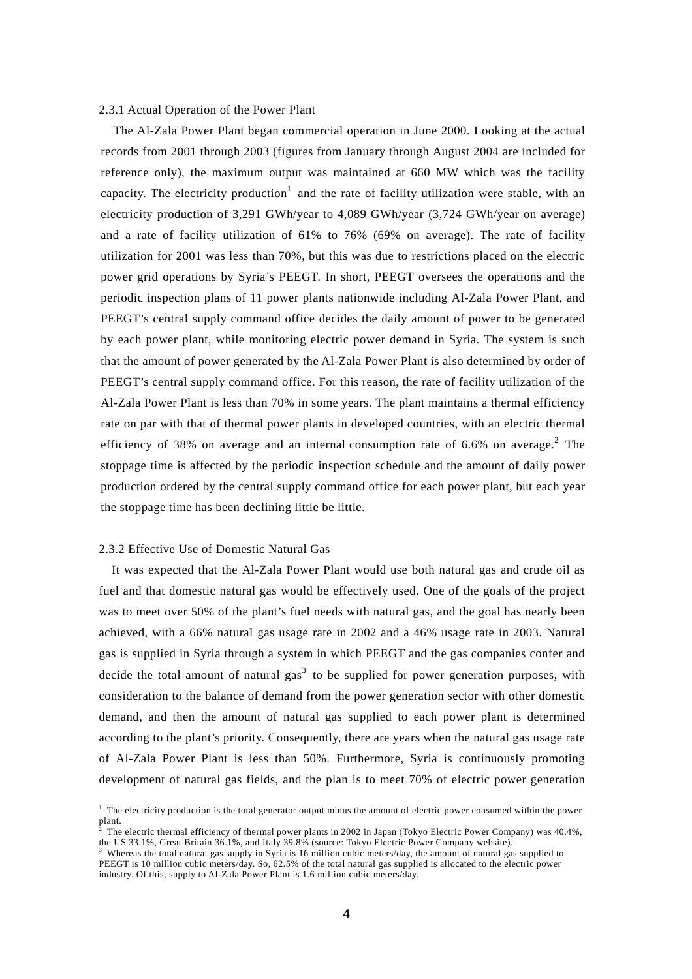# 2.3.1 Actual Operation of the Power Plant

The Al-Zala Power Plant began commercial operation in June 2000. Looking at the actual records from 2001 through 2003 (figures from January through August 2004 are included for reference only), the maximum output was maintained at 660 MW which was the facility capacity. The electricity production<sup>1</sup> and the rate of facility utilization were stable, with an electricity production of 3,291 GWh/year to 4,089 GWh/year (3,724 GWh/year on average) and a rate of facility utilization of 61% to 76% (69% on average). The rate of facility utilization for 2001 was less than 70%, but this was due to restrictions placed on the electric power grid operations by Syria's PEEGT. In short, PEEGT oversees the operations and the periodic inspection plans of 11 power plants nationwide including Al-Zala Power Plant, and PEEGT's central supply command office decides the daily amount of power to be generated by each power plant, while monitoring electric power demand in Syria. The system is such that the amount of power generated by the Al-Zala Power Plant is also determined by order of PEEGT's central supply command office. For this reason, the rate of facility utilization of the Al-Zala Power Plant is less than 70% in some years. The plant maintains a thermal efficiency rate on par with that of thermal power plants in developed countries, with an electric thermal efficiency of 38% on average and an internal consumption rate of 6.6% on average.<sup>2</sup> The stoppage time is affected by the periodic inspection schedule and the amount of daily power production ordered by the central supply command office for each power plant, but each year the stoppage time has been declining little be little.

#### 2.3.2 Effective Use of Domestic Natural Gas

 $\overline{a}$ 

It was expected that the Al-Zala Power Plant would use both natural gas and crude oil as fuel and that domestic natural gas would be effectively used. One of the goals of the project was to meet over 50% of the plant's fuel needs with natural gas, and the goal has nearly been achieved, with a 66% natural gas usage rate in 2002 and a 46% usage rate in 2003. Natural gas is supplied in Syria through a system in which PEEGT and the gas companies confer and decide the total amount of natural gas<sup>3</sup> to be supplied for power generation purposes, with consideration to the balance of demand from the power generation sector with other domestic demand, and then the amount of natural gas supplied to each power plant is determined according to the plant's priority. Consequently, there are years when the natural gas usage rate of Al-Zala Power Plant is less than 50%. Furthermore, Syria is continuously promoting development of natural gas fields, and the plan is to meet 70% of electric power generation

<sup>&</sup>lt;sup>1</sup> The electricity production is the total generator output minus the amount of electric power consumed within the power plant.

The electric thermal efficiency of thermal power plants in 2002 in Japan (Tokyo Electric Power Company) was 40.4%, the US 33.1%, Great Britain 36.1%, and Italy 39.8% (source: Tokyo Electric Power Company website). 3

<sup>&</sup>lt;sup>3</sup> Whereas the total natural gas supply in Syria is 16 million cubic meters/day, the amount of natural gas supplied to PEEGT is 10 million cubic meters/day. So, 62.5% of the total natural gas supplied is allocated to the electric power industry. Of this, supply to Al-Zala Power Plant is 1.6 million cubic meters/day.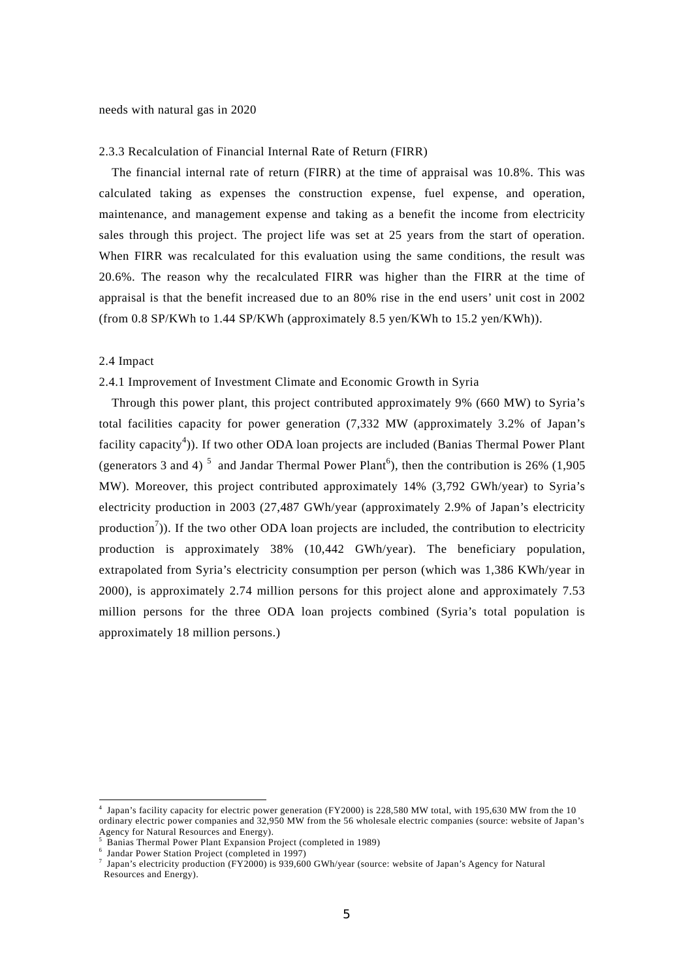needs with natural gas in 2020

#### 2.3.3 Recalculation of Financial Internal Rate of Return (FIRR)

The financial internal rate of return (FIRR) at the time of appraisal was 10.8%. This was calculated taking as expenses the construction expense, fuel expense, and operation, maintenance, and management expense and taking as a benefit the income from electricity sales through this project. The project life was set at 25 years from the start of operation. When FIRR was recalculated for this evaluation using the same conditions, the result was 20.6%. The reason why the recalculated FIRR was higher than the FIRR at the time of appraisal is that the benefit increased due to an 80% rise in the end users' unit cost in 2002 (from 0.8 SP/KWh to 1.44 SP/KWh (approximately 8.5 yen/KWh to 15.2 yen/KWh)).

#### 2.4 Impact

 $\overline{a}$ 

### 2.4.1 Improvement of Investment Climate and Economic Growth in Syria

Through this power plant, this project contributed approximately 9% (660 MW) to Syria's total facilities capacity for power generation (7,332 MW (approximately 3.2% of Japan's facility capacity<sup>4</sup>)). If two other ODA loan projects are included (Banias Thermal Power Plant (generators 3 and 4)<sup>5</sup> and Jandar Thermal Power Plant<sup>6</sup>), then the contribution is 26% (1,905) MW). Moreover, this project contributed approximately 14% (3,792 GWh/year) to Syria's electricity production in 2003 (27,487 GWh/year (approximately 2.9% of Japan's electricity production<sup>7</sup>)). If the two other ODA loan projects are included, the contribution to electricity production is approximately 38% (10,442 GWh/year). The beneficiary population, extrapolated from Syria's electricity consumption per person (which was 1,386 KWh/year in 2000), is approximately 2.74 million persons for this project alone and approximately 7.53 million persons for the three ODA loan projects combined (Syria's total population is approximately 18 million persons.)

<sup>4</sup> Japan's facility capacity for electric power generation (FY2000) is 228,580 MW total, with 195,630 MW from the 10 ordinary electric power companies and 32,950 MW from the 56 wholesale electric companies (source: website of Japan's Agency for Natural Resources and Energy).<br>
<sup>5</sup> Panies Thermal Power Plant Expansion Br

Banias Thermal Power Plant Expansion Project (completed in 1989)

 $6$  Jandar Power Station Project (completed in 1997)

<sup>7</sup> Japan's electricity production (FY2000) is 939,600 GWh/year (source: website of Japan's Agency for Natural Resources and Energy).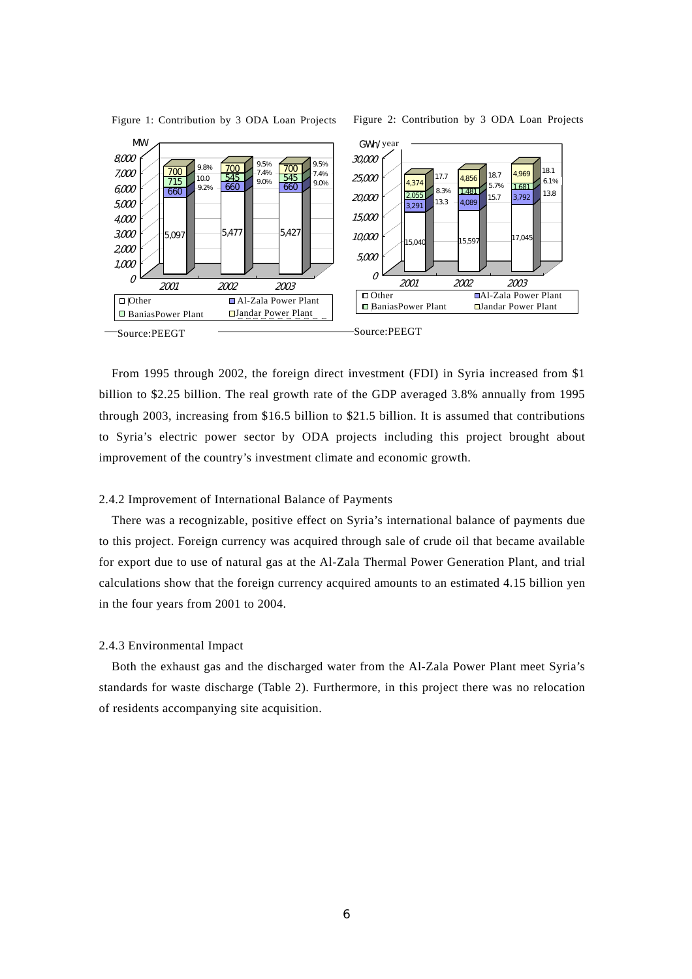

Figure 1: Contribution by 3 ODA Loan Projects Figure 2: Contribution by 3 ODA Loan Projects

From 1995 through 2002, the foreign direct investment (FDI) in Syria increased from \$1 billion to \$2.25 billion. The real growth rate of the GDP averaged 3.8% annually from 1995 through 2003, increasing from \$16.5 billion to \$21.5 billion. It is assumed that contributions to Syria's electric power sector by ODA projects including this project brought about improvement of the country's investment climate and economic growth.

#### 2.4.2 Improvement of International Balance of Payments

There was a recognizable, positive effect on Syria's international balance of payments due to this project. Foreign currency was acquired through sale of crude oil that became available for export due to use of natural gas at the Al-Zala Thermal Power Generation Plant, and trial calculations show that the foreign currency acquired amounts to an estimated 4.15 billion yen in the four years from 2001 to 2004.

### 2.4.3 Environmental Impact

Both the exhaust gas and the discharged water from the Al-Zala Power Plant meet Syria's standards for waste discharge (Table 2). Furthermore, in this project there was no relocation of residents accompanying site acquisition.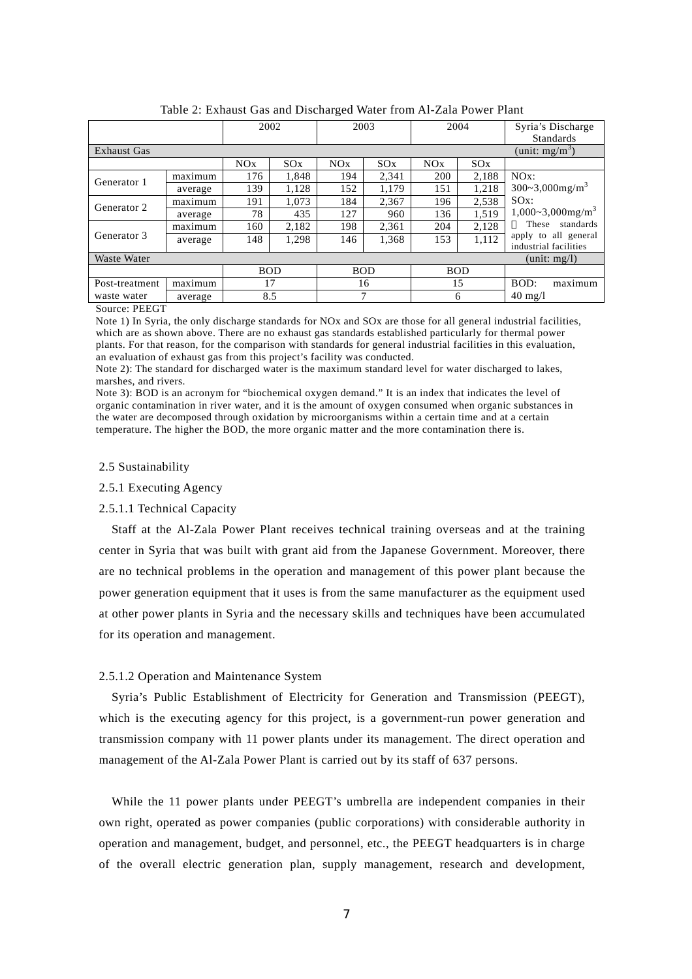|                                |         | 2002       |       | 2003       |       | 2004       |       | Syria's Discharge                             |
|--------------------------------|---------|------------|-------|------------|-------|------------|-------|-----------------------------------------------|
|                                |         |            |       |            |       |            |       | Standards                                     |
| <b>Exhaust Gas</b>             |         |            |       |            |       |            |       | (unit: $mg/m^3$ )                             |
|                                |         | NOx        | SOX   | NOx        | SOX   | NOx        | SOX   |                                               |
| Generator 1                    | maximum | 176        | 1.848 | 194        | 2.341 | 200        | 2.188 | $NOx$ :                                       |
|                                | average | 139        | 1.128 | 152        | 1.179 | 151        | 1.218 | $300 - 3,000$ mg/m <sup>3</sup>               |
| Generator 2                    | maximum | 191        | 1.073 | 184        | 2.367 | 196        | 2.538 | $SOx$ :                                       |
|                                | average | 78         | 435   | 127        | 960   | 136        | 1.519 | $1,000~3,000$ mg/m <sup>3</sup>               |
|                                | maximum | 160        | 2.182 | 198        | 2,361 | 204        | 2.128 | standards<br>These                            |
| Generator 3                    | average | 148        | 1,298 | 146        | 1,368 | 153        | 1.112 | apply to all general<br>industrial facilities |
| Waste Water<br>(unit: $mg/l$ ) |         |            |       |            |       |            |       |                                               |
|                                |         | <b>BOD</b> |       | <b>BOD</b> |       | <b>BOD</b> |       |                                               |
| Post-treatment                 | maximum | 17         |       |            | 16    | 15         |       | BOD:<br>maximum                               |
| waste water                    | average | 8.5        |       | 7          |       | 6          |       | $40 \text{ mg/l}$                             |

Table 2: Exhaust Gas and Discharged Water from Al-Zala Power Plant

Source: PEEGT

Note 1) In Syria, the only discharge standards for NOx and SOx are those for all general industrial facilities, which are as shown above. There are no exhaust gas standards established particularly for thermal power plants. For that reason, for the comparison with standards for general industrial facilities in this evaluation, an evaluation of exhaust gas from this project's facility was conducted.

Note 2): The standard for discharged water is the maximum standard level for water discharged to lakes, marshes, and rivers.

Note 3): BOD is an acronym for "biochemical oxygen demand." It is an index that indicates the level of organic contamination in river water, and it is the amount of oxygen consumed when organic substances in the water are decomposed through oxidation by microorganisms within a certain time and at a certain temperature. The higher the BOD, the more organic matter and the more contamination there is.

#### 2.5 Sustainability

2.5.1 Executing Agency

#### 2.5.1.1 Technical Capacity

Staff at the Al-Zala Power Plant receives technical training overseas and at the training center in Syria that was built with grant aid from the Japanese Government. Moreover, there are no technical problems in the operation and management of this power plant because the power generation equipment that it uses is from the same manufacturer as the equipment used at other power plants in Syria and the necessary skills and techniques have been accumulated for its operation and management.

### 2.5.1.2 Operation and Maintenance System

Syria's Public Establishment of Electricity for Generation and Transmission (PEEGT), which is the executing agency for this project, is a government-run power generation and transmission company with 11 power plants under its management. The direct operation and management of the Al-Zala Power Plant is carried out by its staff of 637 persons.

While the 11 power plants under PEEGT's umbrella are independent companies in their own right, operated as power companies (public corporations) with considerable authority in operation and management, budget, and personnel, etc., the PEEGT headquarters is in charge of the overall electric generation plan, supply management, research and development,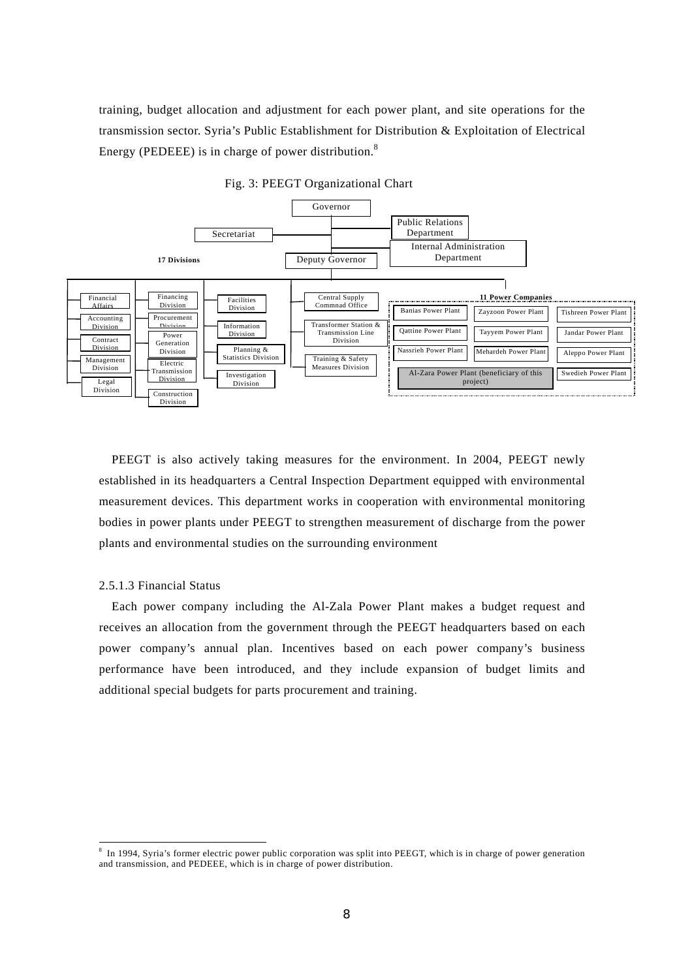training, budget allocation and adjustment for each power plant, and site operations for the transmission sector. Syria's Public Establishment for Distribution & Exploitation of Electrical Energy (PEDEEE) is in charge of power distribution.<sup>8</sup>



Fig. 3: PEEGT Organizational Chart

PEEGT is also actively taking measures for the environment. In 2004, PEEGT newly established in its headquarters a Central Inspection Department equipped with environmental measurement devices. This department works in cooperation with environmental monitoring bodies in power plants under PEEGT to strengthen measurement of discharge from the power plants and environmental studies on the surrounding environment

#### 2.5.1.3 Financial Status

 $\overline{a}$ 

Each power company including the Al-Zala Power Plant makes a budget request and receives an allocation from the government through the PEEGT headquarters based on each power company's annual plan. Incentives based on each power company's business performance have been introduced, and they include expansion of budget limits and additional special budgets for parts procurement and training.

<sup>&</sup>lt;sup>8</sup> In 1994, Syria's former electric power public corporation was split into PEEGT, which is in charge of power generation and transmission, and PEDEEE, which is in charge of power distribution.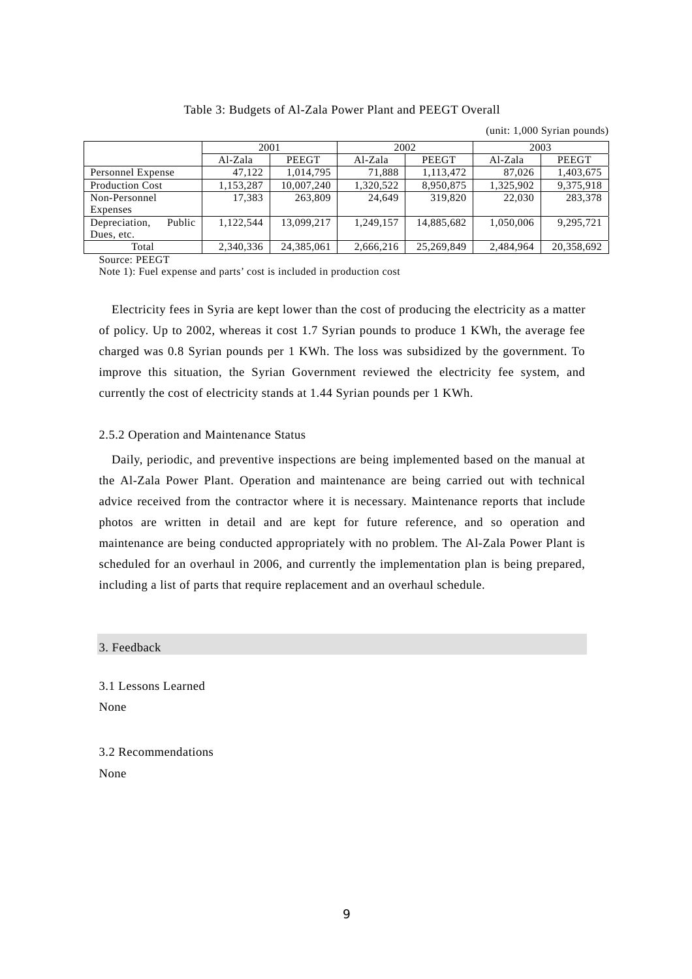#### (unit: 1,000 Syrian pounds) 2001 2002 2003 Al-Zala PEEGT Al-Zala PEEGT Al-Zala PEEGT Personnel Expense 47,122 1,014,795 71,888 1,113,472 87,026 1,403,675<br>Production Cost 1,153,287 10,007,240 1,320,522 8,950,875 1,325,902 9,375,918 Production Cost 1,153,287 10,007,240 1,320,522 8,950,875 1,325,902 Non-Personnel Expenses 17,383 263,809 24,649 319,820 22,030 283,378 Depreciation, Public Dues, etc. 1,122,544 13,099,217 1,249,157 14,885,682 1,050,006 9,295,721 Total 2,340,336 24,385,061 2,666,216 25,269,849 2,484,964 20,358,692

# Table 3: Budgets of Al-Zala Power Plant and PEEGT Overall

Source: PEEGT

Note 1): Fuel expense and parts' cost is included in production cost

Electricity fees in Syria are kept lower than the cost of producing the electricity as a matter of policy. Up to 2002, whereas it cost 1.7 Syrian pounds to produce 1 KWh, the average fee charged was 0.8 Syrian pounds per 1 KWh. The loss was subsidized by the government. To improve this situation, the Syrian Government reviewed the electricity fee system, and currently the cost of electricity stands at 1.44 Syrian pounds per 1 KWh.

## 2.5.2 Operation and Maintenance Status

Daily, periodic, and preventive inspections are being implemented based on the manual at the Al-Zala Power Plant. Operation and maintenance are being carried out with technical advice received from the contractor where it is necessary. Maintenance reports that include photos are written in detail and are kept for future reference, and so operation and maintenance are being conducted appropriately with no problem. The Al-Zala Power Plant is scheduled for an overhaul in 2006, and currently the implementation plan is being prepared, including a list of parts that require replacement and an overhaul schedule.

3. Feedback

3.1 Lessons Learned None

3.2 Recommendations None